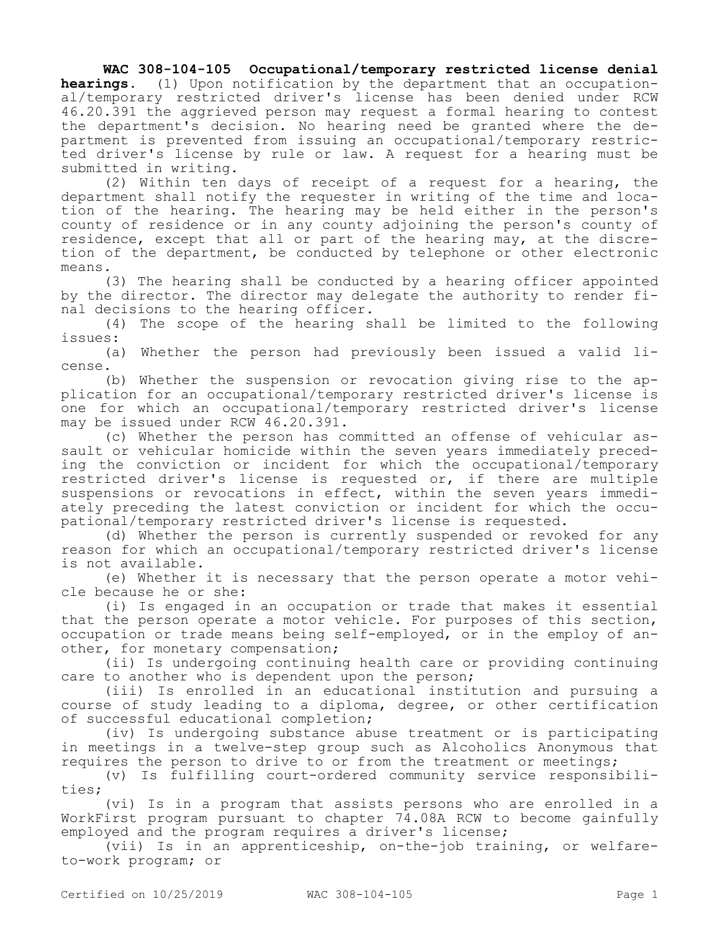**WAC 308-104-105 Occupational/temporary restricted license denial hearings.** (1) Upon notification by the department that an occupational/temporary restricted driver's license has been denied under RCW 46.20.391 the aggrieved person may request a formal hearing to contest the department's decision. No hearing need be granted where the department is prevented from issuing an occupational/temporary restricted driver's license by rule or law. A request for a hearing must be submitted in writing.

(2) Within ten days of receipt of a request for a hearing, the department shall notify the requester in writing of the time and location of the hearing. The hearing may be held either in the person's county of residence or in any county adjoining the person's county of residence, except that all or part of the hearing may, at the discretion of the department, be conducted by telephone or other electronic means.

(3) The hearing shall be conducted by a hearing officer appointed by the director. The director may delegate the authority to render final decisions to the hearing officer.

(4) The scope of the hearing shall be limited to the following issues:

(a) Whether the person had previously been issued a valid license.

(b) Whether the suspension or revocation giving rise to the application for an occupational/temporary restricted driver's license is one for which an occupational/temporary restricted driver's license may be issued under RCW 46.20.391.

(c) Whether the person has committed an offense of vehicular assault or vehicular homicide within the seven years immediately preceding the conviction or incident for which the occupational/temporary restricted driver's license is requested or, if there are multiple suspensions or revocations in effect, within the seven years immediately preceding the latest conviction or incident for which the occupational/temporary restricted driver's license is requested.

(d) Whether the person is currently suspended or revoked for any reason for which an occupational/temporary restricted driver's license is not available.

(e) Whether it is necessary that the person operate a motor vehicle because he or she:

(i) Is engaged in an occupation or trade that makes it essential that the person operate a motor vehicle. For purposes of this section, occupation or trade means being self-employed, or in the employ of another, for monetary compensation;

(ii) Is undergoing continuing health care or providing continuing care to another who is dependent upon the person;

(iii) Is enrolled in an educational institution and pursuing a course of study leading to a diploma, degree, or other certification of successful educational completion;

(iv) Is undergoing substance abuse treatment or is participating in meetings in a twelve-step group such as Alcoholics Anonymous that requires the person to drive to or from the treatment or meetings;

(v) Is fulfilling court-ordered community service responsibilities;

(vi) Is in a program that assists persons who are enrolled in a WorkFirst program pursuant to chapter 74.08A RCW to become gainfully employed and the program requires a driver's license;

(vii) Is in an apprenticeship, on-the-job training, or welfareto-work program; or